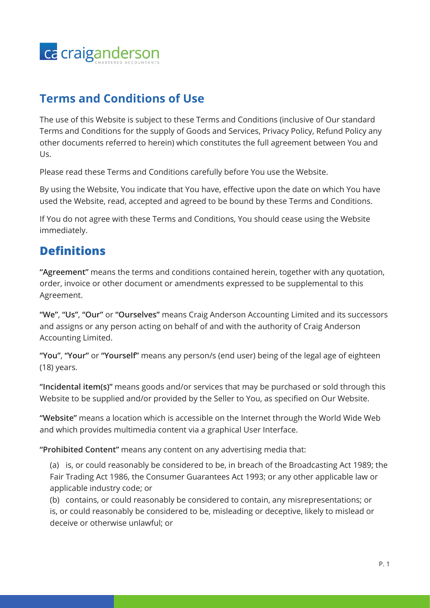

#### **Terms and Conditions of Use**

The use of this Website is subject to these Terms and Conditions (inclusive of Our standard Terms and Conditions for the supply of Goods and Services, Privacy Policy, Refund Policy any other documents referred to herein) which constitutes the full agreement between You and Us.

Please read these Terms and Conditions carefully before You use the Website.

By using the Website, You indicate that You have, effective upon the date on which You have used the Website, read, accepted and agreed to be bound by these Terms and Conditions.

If You do not agree with these Terms and Conditions, You should cease using the Website immediately.

#### **Definitions**

**"Agreement"** means the terms and conditions contained herein, together with any quotation, order, invoice or other document or amendments expressed to be supplemental to this Agreement.

**"We"**, **"Us"**, **"Our"** or **"Ourselves"** means Craig Anderson Accounting Limited and its successors and assigns or any person acting on behalf of and with the authority of Craig Anderson Accounting Limited.

**"You"**, **"Your"** or **"Yourself"** means any person/s (end user) being of the legal age of eighteen (18) years.

**"Incidental item(s)"** means goods and/or services that may be purchased or sold through this Website to be supplied and/or provided by the Seller to You, as specified on Our Website.

**"Website"** means a location which is accessible on the Internet through the World Wide Web and which provides multimedia content via a graphical User Interface.

**"Prohibited Content"** means any content on any advertising media that:

(a) is, or could reasonably be considered to be, in breach of the Broadcasting Act 1989; the Fair Trading Act 1986, the Consumer Guarantees Act 1993; or any other applicable law or applicable industry code; or

(b) contains, or could reasonably be considered to contain, any misrepresentations; or is, or could reasonably be considered to be, misleading or deceptive, likely to mislead or deceive or otherwise unlawful; or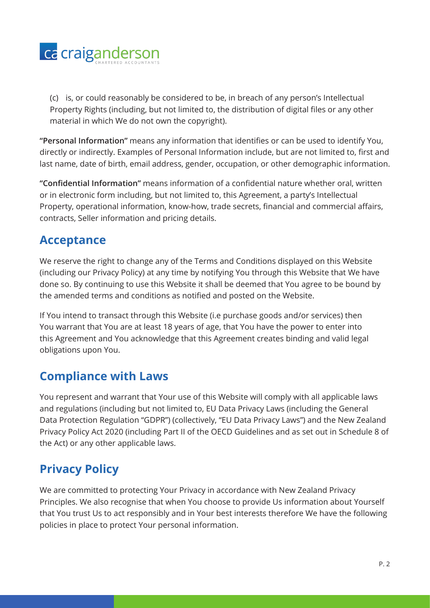

(c) is, or could reasonably be considered to be, in breach of any person's Intellectual Property Rights (including, but not limited to, the distribution of digital files or any other material in which We do not own the copyright).

**"Personal Information"** means any information that identifies or can be used to identify You, directly or indirectly. Examples of Personal Information include, but are not limited to, first and last name, date of birth, email address, gender, occupation, or other demographic information.

**"Confidential Information"** means information of a confidential nature whether oral, written or in electronic form including, but not limited to, this Agreement, a party's Intellectual Property, operational information, know-how, trade secrets, financial and commercial affairs, contracts, Seller information and pricing details.

#### **Acceptance**

We reserve the right to change any of the Terms and Conditions displayed on this Website (including our Privacy Policy) at any time by notifying You through this Website that We have done so. By continuing to use this Website it shall be deemed that You agree to be bound by the amended terms and conditions as notified and posted on the Website.

If You intend to transact through this Website (i.e purchase goods and/or services) then You warrant that You are at least 18 years of age, that You have the power to enter into this Agreement and You acknowledge that this Agreement creates binding and valid legal obligations upon You.

#### **Compliance with Laws**

You represent and warrant that Your use of this Website will comply with all applicable laws and regulations (including but not limited to, EU Data Privacy Laws (including the General Data Protection Regulation "GDPR") (collectively, "EU Data Privacy Laws") and the New Zealand Privacy Policy Act 2020 (including Part II of the OECD Guidelines and as set out in Schedule 8 of the Act) or any other applicable laws.

# **Privacy Policy**

We are committed to protecting Your Privacy in accordance with New Zealand Privacy Principles. We also recognise that when You choose to provide Us information about Yourself that You trust Us to act responsibly and in Your best interests therefore We have the following policies in place to protect Your personal information.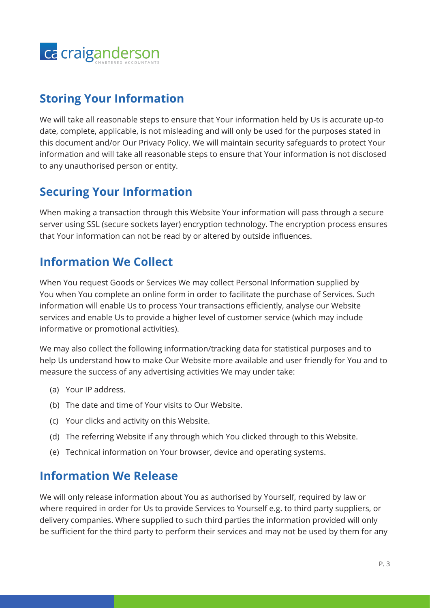

#### **Storing Your Information**

We will take all reasonable steps to ensure that Your information held by Us is accurate up-to date, complete, applicable, is not misleading and will only be used for the purposes stated in this document and/or Our Privacy Policy. We will maintain security safeguards to protect Your information and will take all reasonable steps to ensure that Your information is not disclosed to any unauthorised person or entity.

#### **Securing Your Information**

When making a transaction through this Website Your information will pass through a secure server using SSL (secure sockets layer) encryption technology. The encryption process ensures that Your information can not be read by or altered by outside influences.

## **Information We Collect**

When You request Goods or Services We may collect Personal Information supplied by You when You complete an online form in order to facilitate the purchase of Services. Such information will enable Us to process Your transactions efficiently, analyse our Website services and enable Us to provide a higher level of customer service (which may include informative or promotional activities).

We may also collect the following information/tracking data for statistical purposes and to help Us understand how to make Our Website more available and user friendly for You and to measure the success of any advertising activities We may under take:

- (a) Your IP address.
- (b) The date and time of Your visits to Our Website.
- (c) Your clicks and activity on this Website.
- (d) The referring Website if any through which You clicked through to this Website.
- (e) Technical information on Your browser, device and operating systems.

#### **Information We Release**

We will only release information about You as authorised by Yourself, required by law or where required in order for Us to provide Services to Yourself e.g. to third party suppliers, or delivery companies. Where supplied to such third parties the information provided will only be sufficient for the third party to perform their services and may not be used by them for any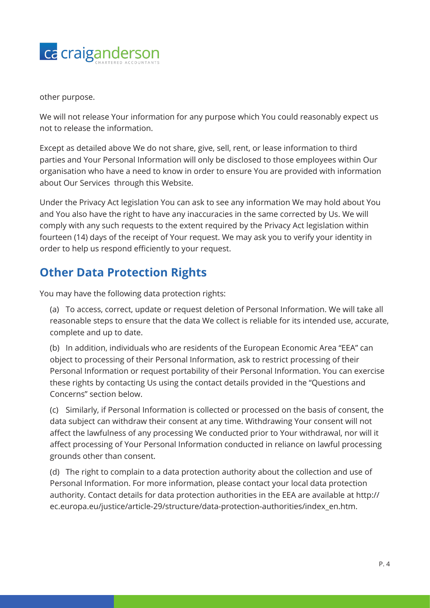

other purpose.

We will not release Your information for any purpose which You could reasonably expect us not to release the information.

Except as detailed above We do not share, give, sell, rent, or lease information to third parties and Your Personal Information will only be disclosed to those employees within Our organisation who have a need to know in order to ensure You are provided with information about Our Services through this Website.

Under the Privacy Act legislation You can ask to see any information We may hold about You and You also have the right to have any inaccuracies in the same corrected by Us. We will comply with any such requests to the extent required by the Privacy Act legislation within fourteen (14) days of the receipt of Your request. We may ask you to verify your identity in order to help us respond efficiently to your request.

#### **Other Data Protection Rights**

You may have the following data protection rights:

(a) To access, correct, update or request deletion of Personal Information. We will take all reasonable steps to ensure that the data We collect is reliable for its intended use, accurate, complete and up to date.

(b) In addition, individuals who are residents of the European Economic Area "EEA" can object to processing of their Personal Information, ask to restrict processing of their Personal Information or request portability of their Personal Information. You can exercise these rights by contacting Us using the contact details provided in the "Questions and Concerns" section below.

(c) Similarly, if Personal Information is collected or processed on the basis of consent, the data subject can withdraw their consent at any time. Withdrawing Your consent will not affect the lawfulness of any processing We conducted prior to Your withdrawal, nor will it affect processing of Your Personal Information conducted in reliance on lawful processing grounds other than consent.

(d) The right to complain to a data protection authority about the collection and use of Personal Information. For more information, please contact your local data protection authority. Contact details for data protection authorities in the EEA are available at http:// ec.europa.eu/justice/article-29/structure/data-protection-authorities/index\_en.htm.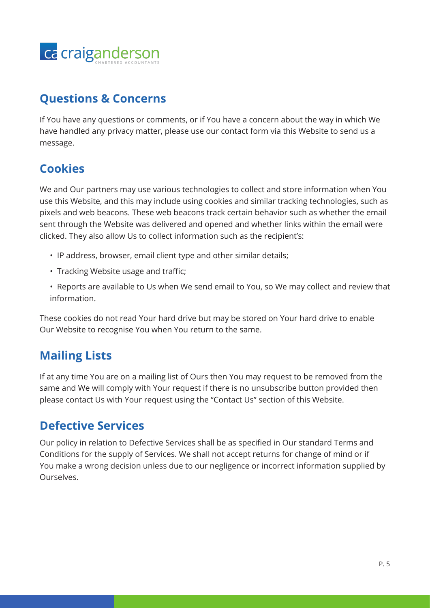

#### **Questions & Concerns**

If You have any questions or comments, or if You have a concern about the way in which We have handled any privacy matter, please use our contact form via this Website to send us a message.

## **Cookies**

We and Our partners may use various technologies to collect and store information when You use this Website, and this may include using cookies and similar tracking technologies, such as pixels and web beacons. These web beacons track certain behavior such as whether the email sent through the Website was delivered and opened and whether links within the email were clicked. They also allow Us to collect information such as the recipient's:

- IP address, browser, email client type and other similar details;
- Tracking Website usage and traffic;
- Reports are available to Us when We send email to You, so We may collect and review that information.

These cookies do not read Your hard drive but may be stored on Your hard drive to enable Our Website to recognise You when You return to the same.

## **Mailing Lists**

If at any time You are on a mailing list of Ours then You may request to be removed from the same and We will comply with Your request if there is no unsubscribe button provided then please contact Us with Your request using the "Contact Us" section of this Website.

#### **Defective Services**

Our policy in relation to Defective Services shall be as specified in Our standard Terms and Conditions for the supply of Services. We shall not accept returns for change of mind or if You make a wrong decision unless due to our negligence or incorrect information supplied by Ourselves.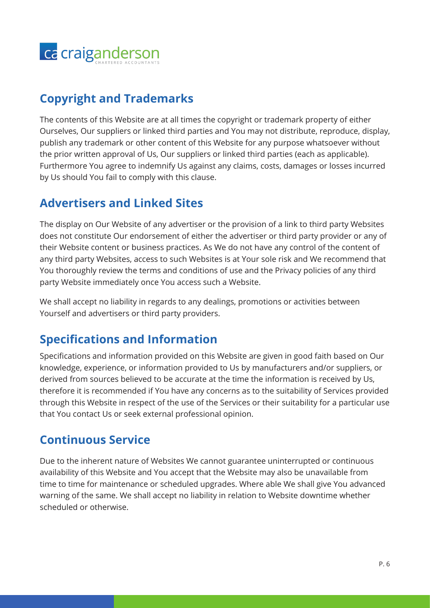

## **Copyright and Trademarks**

The contents of this Website are at all times the copyright or trademark property of either Ourselves, Our suppliers or linked third parties and You may not distribute, reproduce, display, publish any trademark or other content of this Website for any purpose whatsoever without the prior written approval of Us, Our suppliers or linked third parties (each as applicable). Furthermore You agree to indemnify Us against any claims, costs, damages or losses incurred by Us should You fail to comply with this clause.

#### **Advertisers and Linked Sites**

The display on Our Website of any advertiser or the provision of a link to third party Websites does not constitute Our endorsement of either the advertiser or third party provider or any of their Website content or business practices. As We do not have any control of the content of any third party Websites, access to such Websites is at Your sole risk and We recommend that You thoroughly review the terms and conditions of use and the Privacy policies of any third party Website immediately once You access such a Website.

We shall accept no liability in regards to any dealings, promotions or activities between Yourself and advertisers or third party providers.

#### **Specifications and Information**

Specifications and information provided on this Website are given in good faith based on Our knowledge, experience, or information provided to Us by manufacturers and/or suppliers, or derived from sources believed to be accurate at the time the information is received by Us, therefore it is recommended if You have any concerns as to the suitability of Services provided through this Website in respect of the use of the Services or their suitability for a particular use that You contact Us or seek external professional opinion.

#### **Continuous Service**

Due to the inherent nature of Websites We cannot guarantee uninterrupted or continuous availability of this Website and You accept that the Website may also be unavailable from time to time for maintenance or scheduled upgrades. Where able We shall give You advanced warning of the same. We shall accept no liability in relation to Website downtime whether scheduled or otherwise.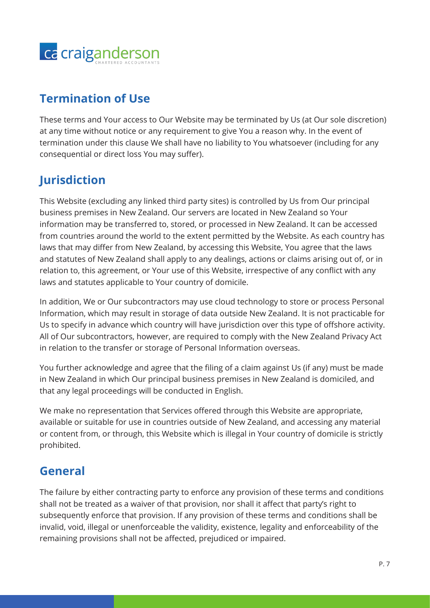

## **Termination of Use**

These terms and Your access to Our Website may be terminated by Us (at Our sole discretion) at any time without notice or any requirement to give You a reason why. In the event of termination under this clause We shall have no liability to You whatsoever (including for any consequential or direct loss You may suffer).

# **Jurisdiction**

This Website (excluding any linked third party sites) is controlled by Us from Our principal business premises in New Zealand. Our servers are located in New Zealand so Your information may be transferred to, stored, or processed in New Zealand. It can be accessed from countries around the world to the extent permitted by the Website. As each country has laws that may differ from New Zealand, by accessing this Website, You agree that the laws and statutes of New Zealand shall apply to any dealings, actions or claims arising out of, or in relation to, this agreement, or Your use of this Website, irrespective of any conflict with any laws and statutes applicable to Your country of domicile.

In addition, We or Our subcontractors may use cloud technology to store or process Personal Information, which may result in storage of data outside New Zealand. It is not practicable for Us to specify in advance which country will have jurisdiction over this type of offshore activity. All of Our subcontractors, however, are required to comply with the New Zealand Privacy Act in relation to the transfer or storage of Personal Information overseas.

You further acknowledge and agree that the filing of a claim against Us (if any) must be made in New Zealand in which Our principal business premises in New Zealand is domiciled, and that any legal proceedings will be conducted in English.

We make no representation that Services offered through this Website are appropriate, available or suitable for use in countries outside of New Zealand, and accessing any material or content from, or through, this Website which is illegal in Your country of domicile is strictly prohibited.

## **General**

The failure by either contracting party to enforce any provision of these terms and conditions shall not be treated as a waiver of that provision, nor shall it affect that party's right to subsequently enforce that provision. If any provision of these terms and conditions shall be invalid, void, illegal or unenforceable the validity, existence, legality and enforceability of the remaining provisions shall not be affected, prejudiced or impaired.